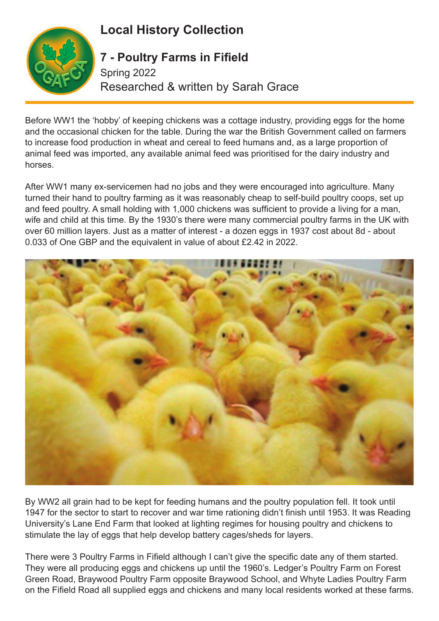## **Local History Collection**



## **7 - Poultry Farms in Fifield**

Spring 2022 Researched & written by Sarah Grace

Before WW1 the 'hobby' of keeping chickens was a cottage industry, providing eggs for the home and the occasional chicken for the table. During the war the British Government called on farmers to increase food production in wheat and cereal to feed humans and, as a large proportion of animal feed was imported, any available animal feed was prioritised for the dairy industry and horses.

After WW1 many ex-servicemen had no jobs and they were encouraged into agriculture. Many turned their hand to poultry farming as it was reasonably cheap to self-build poultry coops, set up and feed poultry. A small holding with 1,000 chickens was sufficient to provide a living for a man, wife and child at this time. By the 1930's there were many commercial poultry farms in the UK with over 60 million layers. Just as a matter of interest - a dozen eggs in 1937 cost about 8d - about 0.033 of One GBP and the equivalent in value of about £2.42 in 2022.



By WW2 all grain had to be kept for feeding humans and the poultry population fell. It took until 1947 for the sector to start to recover and war time rationing didn't finish until 1953. It was Reading University's Lane End Farm that looked at lighting regimes for housing poultry and chickens to stimulate the lay of eggs that help develop battery cages/sheds for layers.

There were 3 Poultry Farms in Fifield although I can't give the specific date any of them started. They were all producing eggs and chickens up until the 1960's. Ledger's Poultry Farm on Forest Green Road, Braywood Poultry Farm opposite Braywood School, and Whyte Ladies Poultry Farm on the Fifield Road all supplied eggs and chickens and many local residents worked at these farms.